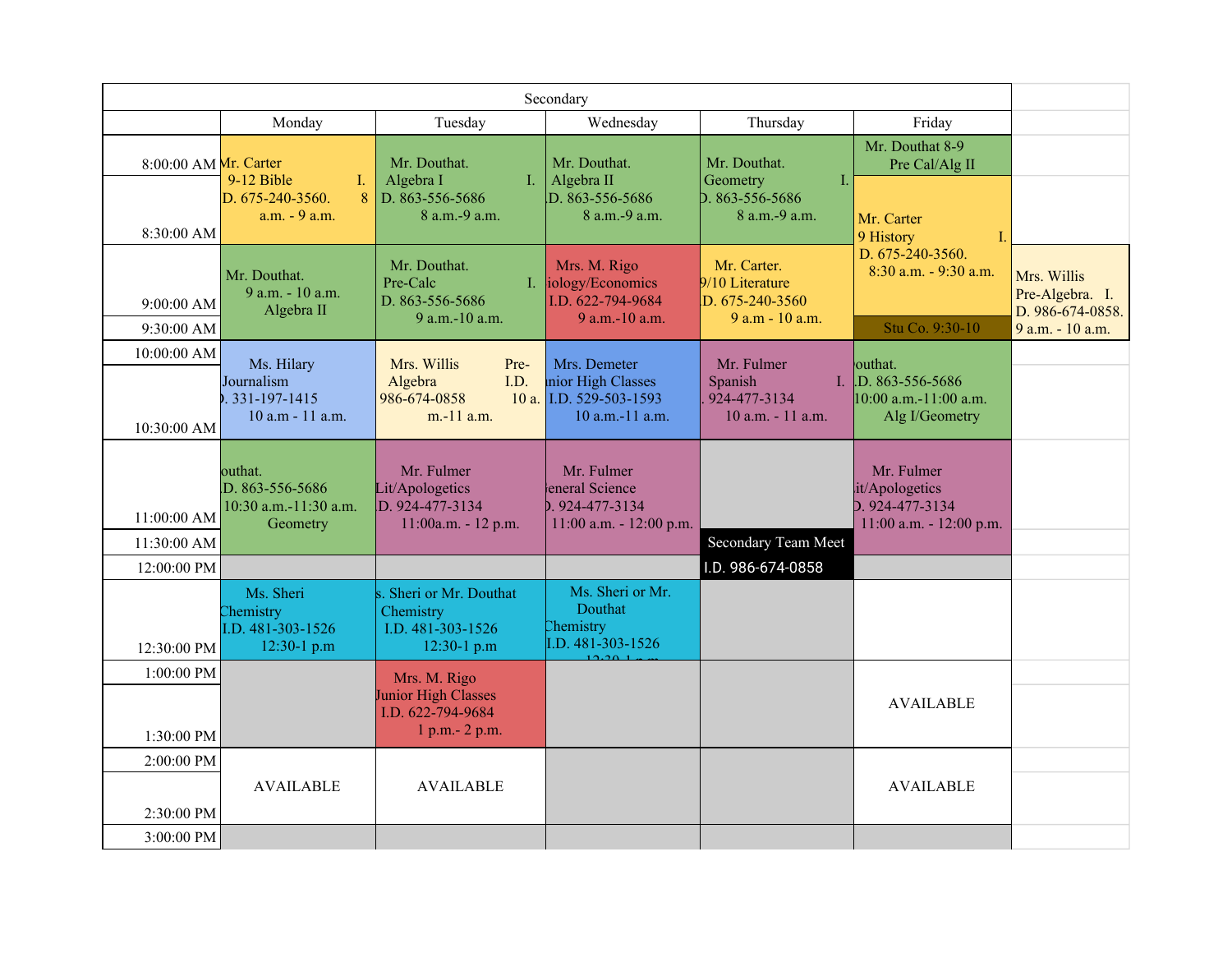|                                        |                                                                 |                                                                                    | Secondary                                                                         |                                                                         |                                                                                |                                                                        |
|----------------------------------------|-----------------------------------------------------------------|------------------------------------------------------------------------------------|-----------------------------------------------------------------------------------|-------------------------------------------------------------------------|--------------------------------------------------------------------------------|------------------------------------------------------------------------|
|                                        | Monday                                                          | Tuesday                                                                            | Wednesday                                                                         | Thursday                                                                | Friday                                                                         |                                                                        |
| 8:00:00 AM Mr. Carter                  | 9-12 Bible<br>Ι.<br>8<br>D. 675-240-3560.<br>a.m. - 9 a.m.      | Mr. Douthat.<br>Algebra I<br>$\mathbf{I}$ .<br>D. 863-556-5686<br>8 a.m.-9 a.m.    | Mr. Douthat.<br>Algebra II<br>D. 863-556-5686<br>8 a.m.-9 a.m.                    | Mr. Douthat.<br>Geometry<br>Ι.<br>D. 863-556-5686<br>$8$ a.m. $-9$ a.m. | Mr. Douthat 8-9<br>Pre Cal/Alg II<br>Mr. Carter                                |                                                                        |
| 8:30:00 AM<br>9:00:00 AM<br>9:30:00 AM | Mr. Douthat.<br>9 a.m. - 10 a.m.<br>Algebra II                  | Mr. Douthat.<br>Pre-Calc<br>D. 863-556-5686<br>9 a.m.-10 a.m.                      | Mrs. M. Rigo<br>I. <b>iology/Economics</b><br>I.D. 622-794-9684<br>9 a.m.-10 a.m. | Mr. Carter.<br>9/10 Literature<br>D. 675-240-3560<br>9 a.m - 10 a.m.    | 9 History<br>T<br>D. 675-240-3560.<br>8:30 a.m. - 9:30 a.m.<br>Stu Co. 9:30-10 | Mrs. Willis<br>Pre-Algebra. I.<br>D. 986-674-0858.<br>9 a.m. - 10 a.m. |
| 10:00:00 AM<br>10:30:00 AM             | Ms. Hilary<br>Journalism<br>.331-197-1415<br>10 a.m - 11 a.m.   | Mrs. Willis<br>Pre-<br>I.D.<br>Algebra<br>986-674-0858<br>$m-11$ a.m.              | Mrs. Demeter<br>nior High Classes<br>10 a. I.D. 529-503-1593<br>10 a.m.-11 a.m.   | Mr. Fulmer<br>Spanish<br>924-477-3134<br>10 a.m. - 11 a.m.              | outhat.<br>I. D. 863-556-5686<br>10:00 a.m.-11:00 a.m.<br>Alg I/Geometry       |                                                                        |
| 11:00:00 AM<br>11:30:00 AM             | outhat.<br>D. 863-556-5686<br>10:30 a.m.-11:30 a.m.<br>Geometry | Mr. Fulmer<br>Lit/Apologetics<br>D. 924-477-3134<br>11:00a.m. - 12 p.m.            | Mr. Fulmer<br>eneral Science<br>b. 924-477-3134<br>11:00 a.m. - 12:00 p.m.        | Secondary Team Meet                                                     | Mr. Fulmer<br>it/Apologetics<br>D. 924-477-3134<br>11:00 a.m. - 12:00 p.m.     |                                                                        |
| 12:00:00 PM                            |                                                                 |                                                                                    |                                                                                   | I.D. 986-674-0858                                                       |                                                                                |                                                                        |
| 12:30:00 PM                            | Ms. Sheri<br>Chemistry<br>I.D. 481-303-1526<br>12:30-1 p.m      | Sheri or Mr. Douthat<br>Chemistry<br>I.D. 481-303-1526<br>12:30-1 p.m              | Ms. Sheri or Mr.<br>Douthat<br>Chemistry<br>I.D. 481-303-1526                     |                                                                         |                                                                                |                                                                        |
| 1:00:00 PM<br>1:30:00 PM               |                                                                 | Mrs. M. Rigo<br><b>Junior High Classes</b><br>I.D. 622-794-9684<br>1 p.m. - 2 p.m. |                                                                                   |                                                                         | <b>AVAILABLE</b>                                                               |                                                                        |
| 2:00:00 PM<br>2:30:00 PM<br>3:00:00 PM | <b>AVAILABLE</b>                                                | <b>AVAILABLE</b>                                                                   |                                                                                   |                                                                         | <b>AVAILABLE</b>                                                               |                                                                        |
|                                        |                                                                 |                                                                                    |                                                                                   |                                                                         |                                                                                |                                                                        |